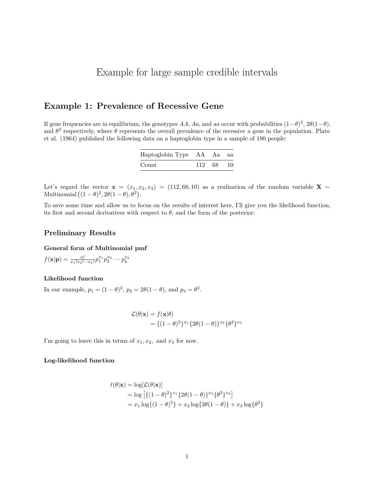# Example for large sample credible intervals

# **Example 1: Prevalence of Recessive Gene**

If gene frequencies are in equilibrium, the genotypes *AA*, *Aa*, and *aa* occur with probabilities  $(1 - \theta)^2$ ,  $2\theta(1 - \theta)$ , and  $\theta^2$  respectively, where  $\theta$  represents the overall prevalence of the recessive *a* gene in the population. Plato et al. (1964) published the following data on a haptoglobin type in a sample of 190 people:

| Haptoglobin Type AA Aa aa |           |  |
|---------------------------|-----------|--|
| Count                     | 112 68 10 |  |

Let's regard the vector  $\mathbf{x} = (x_1, x_2, x_3) = (112, 68, 10)$  as a realization of the random variable **X** ~ Multinomial  $((1 - \theta)^2, 2\theta(1 - \theta), \theta^2)$ .

To save some time and allow us to focus on the results of interest here, I'll give you the likelihood function, its first and second derivatives with respect to  $\theta$ , and the form of the posterior:

# **Preliminary Results**

#### **General form of Multinomial pmf**

 $f(\mathbf{x}|\mathbf{p}) = \frac{n!}{x_1!x_2!\cdots x_k!}p_1^{x_1}p_2^{x_2}\cdots p_k^{x_k}$ 

# **Likelihood function**

In our example,  $p_1 = (1 - \theta)^2$ ,  $p_2 = 2\theta(1 - \theta)$ , and  $p_3 = \theta^2$ .

$$
\mathcal{L}(\theta|\mathbf{x}) = f(\mathbf{x}|\theta)
$$
  
= { (1 - \theta)<sup>2</sup>}<sup>x<sub>1</sub></sup> {2\theta(1 - \theta)}<sup>x<sub>2</sub></sup> { $\theta$ <sup>2</sup>}<sup>x<sub>3</sub></sup>

I'm going to leave this in terms of  $x_1, x_2$ , and  $x_3$  for now.

# **Log-likelihood function**

$$
\ell(\theta|\mathbf{x}) = \log[\mathcal{L}(\theta|\mathbf{x})]
$$
  
= log [ {(1 - \theta)^2}^{x\_1} {2\theta(1 - \theta)}^{x\_2} {\theta^2}^{x\_3}]  
= x\_1 log { (1 - \theta)^2} + x\_2 log {2\theta(1 - \theta)} + x\_3 log { \theta^2}